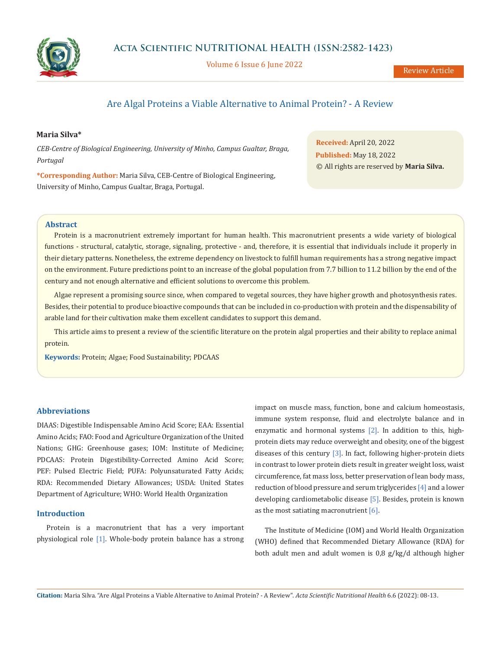

Volume 6 Issue 6 June 2022

# Are Algal Proteins a Viable Alternative to Animal Protein? - A Review

# **Maria Silva\***

*CEB-Centre of Biological Engineering, University of Minho, Campus Gualtar, Braga, Portugal*

**\*Corresponding Author:** Maria Silva, CEB-Centre of Biological Engineering, University of Minho, Campus Gualtar, Braga, Portugal.

**Received:** April 20, 2022 **Published:** May 18, 2022 © All rights are reserved by **Maria Silva.**

# **Abstract**

Protein is a macronutrient extremely important for human health. This macronutrient presents a wide variety of biological functions - structural, catalytic, storage, signaling, protective - and, therefore, it is essential that individuals include it properly in their dietary patterns. Nonetheless, the extreme dependency on livestock to fulfill human requirements has a strong negative impact on the environment. Future predictions point to an increase of the global population from 7.7 billion to 11.2 billion by the end of the century and not enough alternative and efficient solutions to overcome this problem.

Algae represent a promising source since, when compared to vegetal sources, they have higher growth and photosynthesis rates. Besides, their potential to produce bioactive compounds that can be included in co-production with protein and the dispensability of arable land for their cultivation make them excellent candidates to support this demand.

This article aims to present a review of the scientific literature on the protein algal properties and their ability to replace animal protein.

**Keywords:** Protein; Algae; Food Sustainability; PDCAAS

# **Abbreviations**

DIAAS: Digestible Indispensable Amino Acid Score; EAA: Essential Amino Acids; FAO: Food and Agriculture Organization of the United Nations; GHG: Greenhouse gases; IOM: Institute of Medicine; PDCAAS: Protein Digestibility-Corrected Amino Acid Score; PEF: Pulsed Electric Field; PUFA: Polyunsaturated Fatty Acids; RDA: Recommended Dietary Allowances; USDA: United States Department of Agriculture; WHO: World Health Organization

# **Introduction**

Protein is a macronutrient that has a very important physiological role [1]. Whole-body protein balance has a strong impact on muscle mass, function, bone and calcium homeostasis, immune system response, fluid and electrolyte balance and in enzymatic and hormonal systems [2]. In addition to this, highprotein diets may reduce overweight and obesity, one of the biggest diseases of this century [3]. In fact, following higher-protein diets in contrast to lower protein diets result in greater weight loss, waist circumference, fat mass loss, better preservation of lean body mass, reduction of blood pressure and serum triglycerides [4] and a lower developing cardiometabolic disease [5]. Besides, protein is known as the most satiating macronutrient  $[6]$ .

The Institute of Medicine (IOM) and World Health Organization (WHO) defined that Recommended Dietary Allowance (RDA) for both adult men and adult women is 0,8 g/kg/d although higher

**Citation:** Maria Silva*.* "Are Algal Proteins a Viable Alternative to Animal Protein? - A Review". *Acta Scientific Nutritional Health* 6.6 (2022): 08-13.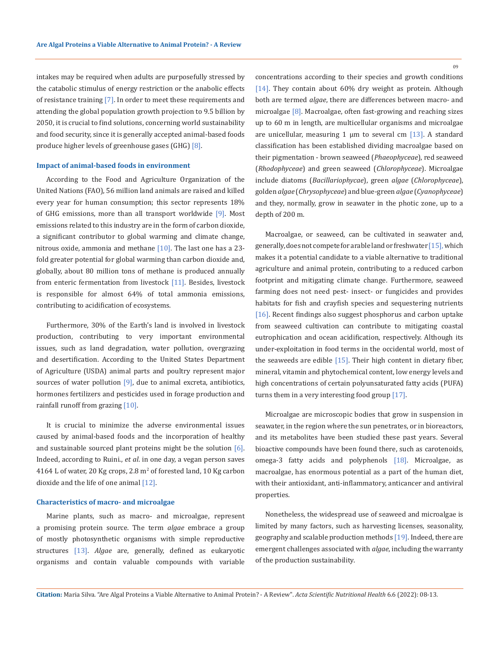intakes may be required when adults are purposefully stressed by the catabolic stimulus of energy restriction or the anabolic effects of resistance training [7]. In order to meet these requirements and attending the global population growth projection to 9.5 billion by 2050, it is crucial to find solutions, concerning world sustainability and food security, since it is generally accepted animal-based foods produce higher levels of greenhouse gases (GHG) [8].

## **Impact of animal-based foods in environment**

According to the Food and Agriculture Organization of the United Nations (FAO), 56 million land animals are raised and killed every year for human consumption; this sector represents 18% of GHG emissions, more than all transport worldwide [9]. Most emissions related to this industry are in the form of carbon dioxide, a significant contributor to global warming and climate change, nitrous oxide, ammonia and methane [10]. The last one has a 23fold greater potential for global warming than carbon dioxide and, globally, about 80 million tons of methane is produced annually from enteric fermentation from livestock [11]. Besides, livestock is responsible for almost 64% of total ammonia emissions, contributing to acidification of ecosystems.

Furthermore, 30% of the Earth's land is involved in livestock production, contributing to very important environmental issues, such as land degradation, water pollution, overgrazing and desertification. According to the United States Department of Agriculture (USDA) animal parts and poultry represent major sources of water pollution  $[9]$ , due to animal excreta, antibiotics, hormones fertilizers and pesticides used in forage production and rainfall runoff from grazing [10].

It is crucial to minimize the adverse environmental issues caused by animal-based foods and the incorporation of healthy and sustainable sourced plant proteins might be the solution [6]. Indeed, according to Ruini., *et al*. in one day, a vegan person saves  $4164$  L of water, 20 Kg crops, 2.8  $m<sup>2</sup>$  of forested land, 10 Kg carbon dioxide and the life of one animal [12].

#### **Characteristics of macro- and microalgae**

Marine plants, such as macro- and microalgae, represent a promising protein source. The term *algae* embrace a group of mostly photosynthetic organisms with simple reproductive structures [13]. *Algae* are, generally, defined as eukaryotic organisms and contain valuable compounds with variable concentrations according to their species and growth conditions [14]. They contain about 60% dry weight as protein. Although both are termed *algae*, there are differences between macro- and microalgae [8]. Macroalgae, often fast-growing and reaching sizes up to 60 m in length, are multicellular organisms and microalgae are unicellular, measuring 1  $\mu$ m to several cm [13]. A standard classification has been established dividing macroalgae based on their pigmentation - brown seaweed (*Phaeophyceae*), red seaweed (*Rhodophyceae*) and green seaweed (*Chlorophyceae*). Microalgae include diatoms (*Bacillariophycae*), green *algae* (*Chlorophyceae*), golden *algae* (*Chrysophyceae*) and blue-green *algae* (*Cyanophyceae*) and they, normally, grow in seawater in the photic zone, up to a depth of 200 m.

Macroalgae, or seaweed, can be cultivated in seawater and, generally, does not compete for arable land or freshwater [15], which makes it a potential candidate to a viable alternative to traditional agriculture and animal protein, contributing to a reduced carbon footprint and mitigating climate change. Furthermore, seaweed farming does not need pest- insect- or fungicides and provides habitats for fish and crayfish species and sequestering nutrients [16]. Recent findings also suggest phosphorus and carbon uptake from seaweed cultivation can contribute to mitigating coastal eutrophication and ocean acidification, respectively. Although its under-exploitation in food terms in the occidental world, most of the seaweeds are edible [15]. Their high content in dietary fiber, mineral, vitamin and phytochemical content, low energy levels and high concentrations of certain polyunsaturated fatty acids (PUFA) turns them in a very interesting food group [17].

Microalgae are microscopic bodies that grow in suspension in seawater, in the region where the sun penetrates, or in bioreactors, and its metabolites have been studied these past years. Several bioactive compounds have been found there, such as carotenoids, omega-3 fatty acids and polyphenols [18]. Microalgae, as macroalgae, has enormous potential as a part of the human diet, with their antioxidant, anti-inflammatory, anticancer and antiviral properties.

Nonetheless, the widespread use of seaweed and microalgae is limited by many factors, such as harvesting licenses, seasonality, geography and scalable production methods [19]. Indeed, there are emergent challenges associated with *algae*, including the warranty of the production sustainability.

**Citation:** Maria Silva*.* "Are Algal Proteins a Viable Alternative to Animal Protein? - A Review". *Acta Scientific Nutritional Health* 6.6 (2022): 08-13.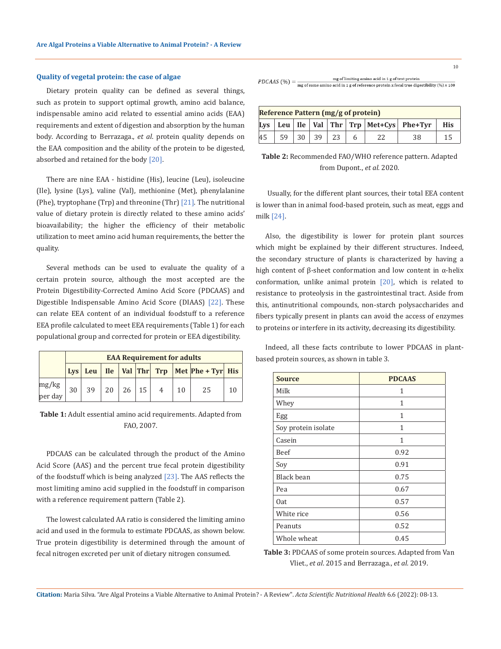## **Quality of vegetal protein: the case of algae**

Dietary protein quality can be defined as several things, such as protein to support optimal growth, amino acid balance, indispensable amino acid related to essential amino acids (EAA) requirements and extent of digestion and absorption by the human body. According to Berrazaga., *et al*. protein quality depends on the EAA composition and the ability of the protein to be digested, absorbed and retained for the body [20].

There are nine EAA - histidine (His), leucine (Leu), isoleucine (Ile), lysine (Lys), valine (Val), methionine (Met), phenylalanine (Phe), tryptophane (Trp) and threonine (Thr) [21]. The nutritional value of dietary protein is directly related to these amino acids' bioavailability; the higher the efficiency of their metabolic utilization to meet amino acid human requirements, the better the quality.

Several methods can be used to evaluate the quality of a certain protein source, although the most accepted are the Protein Digestibility-Corrected Amino Acid Score (PDCAAS) and Digestible Indispensable Amino Acid Score (DIAAS) [22]. These can relate EEA content of an individual foodstuff to a reference EEA profile calculated to meet EEA requirements (Table 1) for each populational group and corrected for protein or EEA digestibility.

|                  | <b>EAA Requirement for adults</b> |    |  |                           |  |                |    |                                                     |    |
|------------------|-----------------------------------|----|--|---------------------------|--|----------------|----|-----------------------------------------------------|----|
|                  | Lvs                               |    |  |                           |  |                |    | Leu   Ile   Val   Thr   Trp   Met   Phe + Tyr   His |    |
| mg/kg<br>per day | 30                                | 39 |  | $20 \mid 26 \mid 15 \mid$ |  | $\overline{4}$ | 10 | 25                                                  | 10 |

**Table 1:** Adult essential amino acid requirements. Adapted from FAO, 2007.

PDCAAS can be calculated through the product of the Amino Acid Score (AAS) and the percent true fecal protein digestibility of the foodstuff which is being analyzed  $[23]$ . The AAS reflects the most limiting amino acid supplied in the foodstuff in comparison with a reference requirement pattern (Table 2).

The lowest calculated AA ratio is considered the limiting amino acid and used in the formula to estimate PDCAAS, as shown below. True protein digestibility is determined through the amount of fecal nitrogen excreted per unit of dietary nitrogen consumed.

10

mg of limiting amino acid in 1 g of test protein  $PDCAAS$  (%) =  $\frac{mg \text{ of } \text{limiting } \text{amino } \text{acid} \text{ in } 1 \text{ g of } \text{test} \text{ protein}}{mg \text{ of } \text{same } \text{amino } \text{acid} \text{ in } 1 \text{ g of } \text{reference } \text{ protein } \text{x } \text{feed true } \text{digestibility } (\%) \times 100}$ 

| <b>Reference Pattern (mg/g of protein)</b> |    |  |       |    |  |  |                                                       |            |
|--------------------------------------------|----|--|-------|----|--|--|-------------------------------------------------------|------------|
|                                            |    |  |       |    |  |  | Lys   Leu   Ile   Val   Thr   Trp   Met+Cys   Phe+Tyr | <b>His</b> |
| 45                                         | 59 |  | 30 39 | 23 |  |  |                                                       |            |

**Table 2:** Recommended FAO/WHO reference pattern. Adapted from Dupont., *et al.* 2020.

 Usually, for the different plant sources, their total EEA content is lower than in animal food-based protein, such as meat, eggs and milk [24].

Also, the digestibility is lower for protein plant sources which might be explained by their different structures. Indeed, the secondary structure of plants is characterized by having a high content of β-sheet conformation and low content in α-helix conformation, unlike animal protein [20], which is related to resistance to proteolysis in the gastrointestinal tract. Aside from this, antinutritional compounds, non-starch polysaccharides and fibers typically present in plants can avoid the access of enzymes to proteins or interfere in its activity, decreasing its digestibility.

Indeed, all these facts contribute to lower PDCAAS in plantbased protein sources, as shown in table 3.

| <b>Source</b>       | <b>PDCAAS</b> |  |  |  |
|---------------------|---------------|--|--|--|
| Milk                | 1             |  |  |  |
| Whey                | 1             |  |  |  |
| Egg                 | 1             |  |  |  |
| Soy protein isolate | 1             |  |  |  |
| Casein              | 1             |  |  |  |
| Beef                | 0.92          |  |  |  |
| Soy                 | 0.91          |  |  |  |
| Black bean          | 0.75          |  |  |  |
| Pea                 | 0.67          |  |  |  |
| 0at                 | 0.57          |  |  |  |
| White rice          | 0.56          |  |  |  |
| Peanuts             | 0.52          |  |  |  |
| Whole wheat         | 0.45          |  |  |  |

**Table 3:** PDCAAS of some protein sources. Adapted from Van Vliet., *et al*. 2015 and Berrazaga., *et al.* 2019.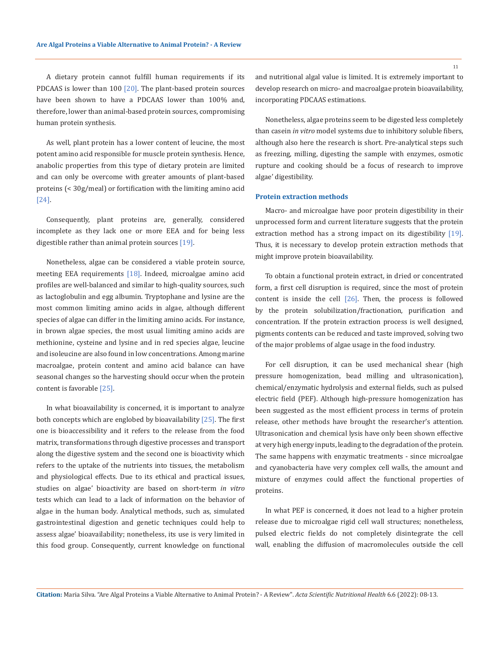A dietary protein cannot fulfill human requirements if its PDCAAS is lower than  $100$  [20]. The plant-based protein sources have been shown to have a PDCAAS lower than 100% and, therefore, lower than animal-based protein sources, compromising human protein synthesis.

As well, plant protein has a lower content of leucine, the most potent amino acid responsible for muscle protein synthesis. Hence, anabolic properties from this type of dietary protein are limited and can only be overcome with greater amounts of plant-based proteins (< 30g/meal) or fortification with the limiting amino acid [24].

Consequently, plant proteins are, generally, considered incomplete as they lack one or more EEA and for being less digestible rather than animal protein sources [19].

Nonetheless, algae can be considered a viable protein source, meeting EEA requirements [18]. Indeed, microalgae amino acid profiles are well-balanced and similar to high-quality sources, such as lactoglobulin and egg albumin. Tryptophane and lysine are the most common limiting amino acids in algae, although different species of algae can differ in the limiting amino acids. For instance, in brown algae species, the most usual limiting amino acids are methionine, cysteine and lysine and in red species algae, leucine and isoleucine are also found in low concentrations. Among marine macroalgae, protein content and amino acid balance can have seasonal changes so the harvesting should occur when the protein content is favorable [25].

In what bioavailability is concerned, it is important to analyze both concepts which are englobed by bioavailability [25]. The first one is bioaccessibility and it refers to the release from the food matrix, transformations through digestive processes and transport along the digestive system and the second one is bioactivity which refers to the uptake of the nutrients into tissues, the metabolism and physiological effects. Due to its ethical and practical issues, studies on algae' bioactivity are based on short-term *in vitro* tests which can lead to a lack of information on the behavior of algae in the human body. Analytical methods, such as, simulated gastrointestinal digestion and genetic techniques could help to assess algae' bioavailability; nonetheless, its use is very limited in this food group. Consequently, current knowledge on functional and nutritional algal value is limited. It is extremely important to develop research on micro- and macroalgae protein bioavailability, incorporating PDCAAS estimations.

Nonetheless, algae proteins seem to be digested less completely than casein *in vitro* model systems due to inhibitory soluble fibers, although also here the research is short. Pre-analytical steps such as freezing, milling, digesting the sample with enzymes, osmotic rupture and cooking should be a focus of research to improve algae' digestibility.

### **Protein extraction methods**

Macro- and microalgae have poor protein digestibility in their unprocessed form and current literature suggests that the protein extraction method has a strong impact on its digestibility [19]. Thus, it is necessary to develop protein extraction methods that might improve protein bioavailability.

To obtain a functional protein extract, in dried or concentrated form, a first cell disruption is required, since the most of protein content is inside the cell  $[26]$ . Then, the process is followed by the protein solubilization/fractionation, purification and concentration. If the protein extraction process is well designed, pigments contents can be reduced and taste improved, solving two of the major problems of algae usage in the food industry.

For cell disruption, it can be used mechanical shear (high pressure homogenization, bead milling and ultrasonication), chemical/enzymatic hydrolysis and external fields, such as pulsed electric field (PEF). Although high-pressure homogenization has been suggested as the most efficient process in terms of protein release, other methods have brought the researcher's attention. Ultrasonication and chemical lysis have only been shown effective at very high energy inputs, leading to the degradation of the protein. The same happens with enzymatic treatments - since microalgae and cyanobacteria have very complex cell walls, the amount and mixture of enzymes could affect the functional properties of proteins.

In what PEF is concerned, it does not lead to a higher protein release due to microalgae rigid cell wall structures; nonetheless, pulsed electric fields do not completely disintegrate the cell wall, enabling the diffusion of macromolecules outside the cell

11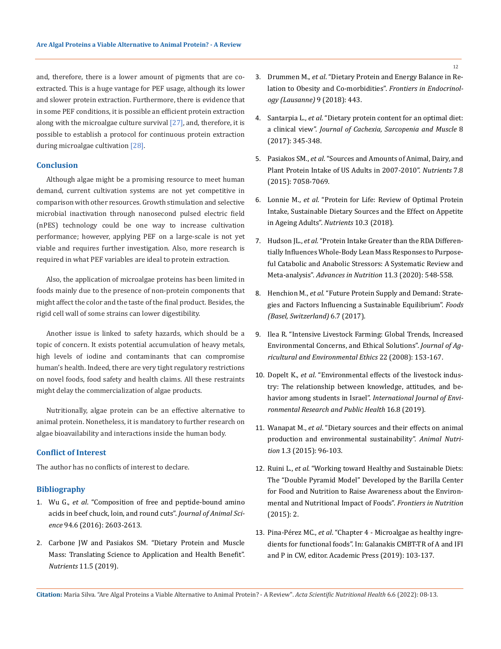and, therefore, there is a lower amount of pigments that are coextracted. This is a huge vantage for PEF usage, although its lower and slower protein extraction. Furthermore, there is evidence that in some PEF conditions, it is possible an efficient protein extraction along with the microalgae culture survival  $[27]$ , and, therefore, it is possible to establish a protocol for continuous protein extraction during microalgae cultivation [28].

# **Conclusion**

Although algae might be a promising resource to meet human demand, current cultivation systems are not yet competitive in comparison with other resources. Growth stimulation and selective microbial inactivation through nanosecond pulsed electric field (nPES) technology could be one way to increase cultivation performance; however, applying PEF on a large-scale is not yet viable and requires further investigation. Also, more research is required in what PEF variables are ideal to protein extraction.

Also, the application of microalgae proteins has been limited in foods mainly due to the presence of non-protein components that might affect the color and the taste of the final product. Besides, the rigid cell wall of some strains can lower digestibility.

Another issue is linked to safety hazards, which should be a topic of concern. It exists potential accumulation of heavy metals, high levels of iodine and contaminants that can compromise human's health. Indeed, there are very tight regulatory restrictions on novel foods, food safety and health claims. All these restraints might delay the commercialization of algae products.

Nutritionally, algae protein can be an effective alternative to animal protein. Nonetheless, it is mandatory to further research on algae bioavailability and interactions inside the human body.

### **Conflict of Interest**

The author has no conflicts of interest to declare.

# **Bibliography**

- 1. Wu G., *et al*[. "Composition of free and peptide-bound amino](https://academic.oup.com/jas/article/94/6/2603/4702294)  [acids in beef chuck, loin, and round cuts".](https://academic.oup.com/jas/article/94/6/2603/4702294) *Journal of Animal Science* [94.6 \(2016\): 2603-2613.](https://academic.oup.com/jas/article/94/6/2603/4702294)
- 2. [Carbone JW and Pasiakos SM. "Dietary Protein and Muscle](https://pubmed.ncbi.nlm.nih.gov/31121843/)  [Mass: Translating Science to Application and Health Benefit".](https://pubmed.ncbi.nlm.nih.gov/31121843/)  *Nutrients* [11.5 \(2019\).](https://pubmed.ncbi.nlm.nih.gov/31121843/)
- 3. Drummen M., *et al*[. "Dietary Protein and Energy Balance in Re](https://pubmed.ncbi.nlm.nih.gov/30127768/)[lation to Obesity and Co-morbidities".](https://pubmed.ncbi.nlm.nih.gov/30127768/) *Frontiers in Endocrinol[ogy \(Lausanne\)](https://pubmed.ncbi.nlm.nih.gov/30127768/)* 9 (2018): 443.
- 4. Santarpia L., *et al*[. "Dietary protein content for an optimal diet:](https://pubmed.ncbi.nlm.nih.gov/28444858/)  a clinical view". *[Journal of Cachexia, Sarcopenia and Muscle](https://pubmed.ncbi.nlm.nih.gov/28444858/)* 8 [\(2017\): 345-348.](https://pubmed.ncbi.nlm.nih.gov/28444858/)
- 5. Pasiakos SM., *et al*[. "Sources and Amounts of Animal, Dairy, and](https://www.ncbi.nlm.nih.gov/pmc/articles/PMC4555161/)  [Plant Protein Intake of US Adults in 2007-2010".](https://www.ncbi.nlm.nih.gov/pmc/articles/PMC4555161/) *Nutrients* 7.8 [\(2015\): 7058-7069.](https://www.ncbi.nlm.nih.gov/pmc/articles/PMC4555161/)
- 6. Lonnie M., *et al*[. "Protein for Life: Review of Optimal Protein](https://www.ncbi.nlm.nih.gov/pmc/articles/PMC5872778/)  [Intake, Sustainable Dietary Sources and the Effect on Appetite](https://www.ncbi.nlm.nih.gov/pmc/articles/PMC5872778/)  [in Ageing Adults".](https://www.ncbi.nlm.nih.gov/pmc/articles/PMC5872778/) *Nutrients* 10.3 (2018).
- 7. Hudson JL., *et al*[. "Protein Intake Greater than the RDA Differen](https://pubmed.ncbi.nlm.nih.gov/31794597/)[tially Influences Whole-Body Lean Mass Responses to Purpose](https://pubmed.ncbi.nlm.nih.gov/31794597/)[ful Catabolic and Anabolic Stressors: A Systematic Review and](https://pubmed.ncbi.nlm.nih.gov/31794597/)  Meta-analysis". *[Advances in Nutrition](https://pubmed.ncbi.nlm.nih.gov/31794597/)* 11.3 (2020): 548-558.
- 8. Henchion M., *et al*[. "Future Protein Supply and Demand: Strate](https://www.ncbi.nlm.nih.gov/pmc/articles/PMC5532560/)[gies and Factors Influencing a Sustainable Equilibrium".](https://www.ncbi.nlm.nih.gov/pmc/articles/PMC5532560/) *Foods [\(Basel, Switzerland\)](https://www.ncbi.nlm.nih.gov/pmc/articles/PMC5532560/)* 6.7 (2017).
- 9. [Ilea R. "Intensive Livestock Farming: Global Trends, Increased](https://www.researchgate.net/publication/225462514_Intensive_Livestock_Farming_Global_Trends_Increased_Environmental_Concerns_and_Ethical_Solutions)  [Environmental Concerns, and Ethical Solutions".](https://www.researchgate.net/publication/225462514_Intensive_Livestock_Farming_Global_Trends_Increased_Environmental_Concerns_and_Ethical_Solutions) *Journal of Ag[ricultural and Environmental Ethics](https://www.researchgate.net/publication/225462514_Intensive_Livestock_Farming_Global_Trends_Increased_Environmental_Concerns_and_Ethical_Solutions)* 22 (2008): 153-167.
- 10. Dopelt K., *et al*[. "Environmental effects of the livestock indus](https://pubmed.ncbi.nlm.nih.gov/31014019/)[try: The relationship between knowledge, attitudes, and be](https://pubmed.ncbi.nlm.nih.gov/31014019/)havior among students in Israel". *[International Journal of Envi](https://pubmed.ncbi.nlm.nih.gov/31014019/)[ronmental Research and Public Health](https://pubmed.ncbi.nlm.nih.gov/31014019/)* 16.8 (2019).
- 11. Wanapat M., *et al*[. "Dietary sources and their effects on animal](https://www.sciencedirect.com/science/article/pii/S2405654515300160)  [production and environmental sustainability".](https://www.sciencedirect.com/science/article/pii/S2405654515300160) *Animal Nutrition* [1.3 \(2015\): 96-103.](https://www.sciencedirect.com/science/article/pii/S2405654515300160)
- 12. Ruini L., *et al*[. "Working toward Healthy and Sustainable Diets:](https://pubmed.ncbi.nlm.nih.gov/25988137/)  [The "Double Pyramid Model" Developed by the Barilla Center](https://pubmed.ncbi.nlm.nih.gov/25988137/)  [for Food and Nutrition to Raise Awareness about the Environ](https://pubmed.ncbi.nlm.nih.gov/25988137/)[mental and Nutritional Impact of Foods".](https://pubmed.ncbi.nlm.nih.gov/25988137/) *Frontiers in Nutrition*  [\(2015\): 2.](https://pubmed.ncbi.nlm.nih.gov/25988137/)
- 13. Pina-Pérez MC., *et al*. "Chapter 4 Microalgae as healthy ingredients for functional foods". In: Galanakis CMBT-TR of A and IFI and P in CW, editor. Academic Press (2019): 103-137.